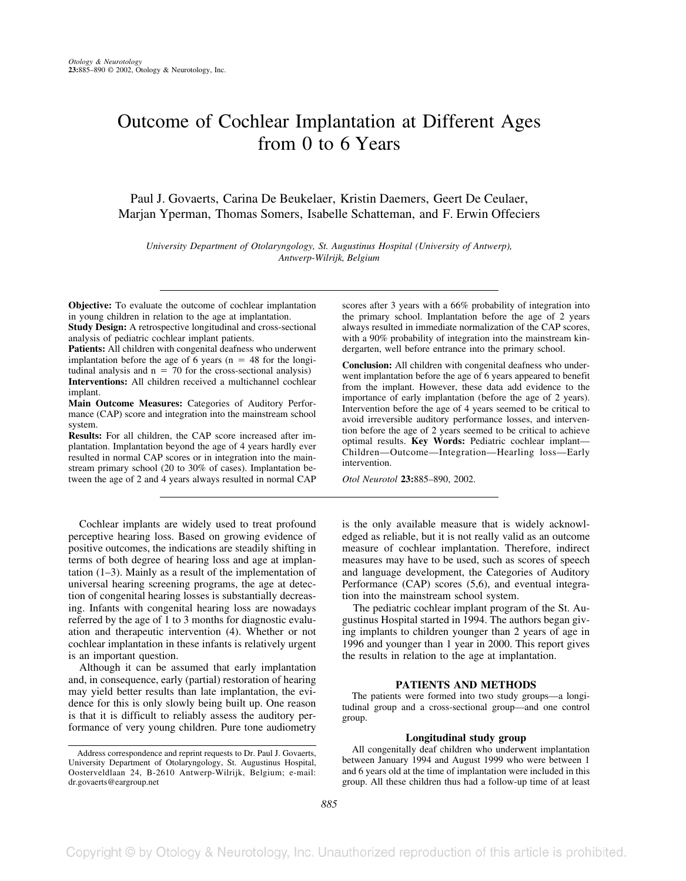# Outcome of Cochlear Implantation at Different Ages from 0 to 6 Years

Paul J. Govaerts, Carina De Beukelaer, Kristin Daemers, Geert De Ceulaer, Marjan Yperman, Thomas Somers, Isabelle Schatteman, and F. Erwin Offeciers

*University Department of Otolaryngology, St. Augustinus Hospital (University of Antwerp), Antwerp-Wilrijk, Belgium*

**Objective:** To evaluate the outcome of cochlear implantation in young children in relation to the age at implantation.

**Study Design:** A retrospective longitudinal and cross-sectional analysis of pediatric cochlear implant patients.

**Patients:** All children with congenital deafness who underwent implantation before the age of 6 years ( $n = 48$  for the longitudinal analysis and  $n = 70$  for the cross-sectional analysis) **Interventions:** All children received a multichannel cochlear implant.

**Main Outcome Measures:** Categories of Auditory Performance (CAP) score and integration into the mainstream school system.

**Results:** For all children, the CAP score increased after implantation. Implantation beyond the age of 4 years hardly ever resulted in normal CAP scores or in integration into the mainstream primary school (20 to 30% of cases). Implantation between the age of 2 and 4 years always resulted in normal CAP

Cochlear implants are widely used to treat profound perceptive hearing loss. Based on growing evidence of positive outcomes, the indications are steadily shifting in terms of both degree of hearing loss and age at implantation (1–3). Mainly as a result of the implementation of universal hearing screening programs, the age at detection of congenital hearing losses is substantially decreasing. Infants with congenital hearing loss are nowadays referred by the age of 1 to 3 months for diagnostic evaluation and therapeutic intervention (4). Whether or not cochlear implantation in these infants is relatively urgent is an important question.

Although it can be assumed that early implantation and, in consequence, early (partial) restoration of hearing may yield better results than late implantation, the evidence for this is only slowly being built up. One reason is that it is difficult to reliably assess the auditory performance of very young children. Pure tone audiometry

scores after 3 years with a 66% probability of integration into the primary school. Implantation before the age of 2 years always resulted in immediate normalization of the CAP scores, with a 90% probability of integration into the mainstream kindergarten, well before entrance into the primary school.

**Conclusion:** All children with congenital deafness who underwent implantation before the age of 6 years appeared to benefit from the implant. However, these data add evidence to the importance of early implantation (before the age of 2 years). Intervention before the age of 4 years seemed to be critical to avoid irreversible auditory performance losses, and intervention before the age of 2 years seemed to be critical to achieve optimal results. **Key Words:** Pediatric cochlear implant— Children—Outcome—Integration—Hearling loss—Early intervention.

*Otol Neurotol* **23:**885–890, 2002.

is the only available measure that is widely acknowledged as reliable, but it is not really valid as an outcome measure of cochlear implantation. Therefore, indirect measures may have to be used, such as scores of speech and language development, the Categories of Auditory Performance (CAP) scores (5,6), and eventual integration into the mainstream school system.

The pediatric cochlear implant program of the St. Augustinus Hospital started in 1994. The authors began giving implants to children younger than 2 years of age in 1996 and younger than 1 year in 2000. This report gives the results in relation to the age at implantation.

## **PATIENTS AND METHODS**

The patients were formed into two study groups—a longitudinal group and a cross-sectional group—and one control group.

## **Longitudinal study group**

All congenitally deaf children who underwent implantation between January 1994 and August 1999 who were between 1 and 6 years old at the time of implantation were included in this group. All these children thus had a follow-up time of at least

Address correspondence and reprint requests to Dr. Paul J. Govaerts, University Department of Otolaryngology, St. Augustinus Hospital, Oosterveldlaan 24, B-2610 Antwerp-Wilrijk, Belgium; e-mail: dr.govaerts@eargroup.net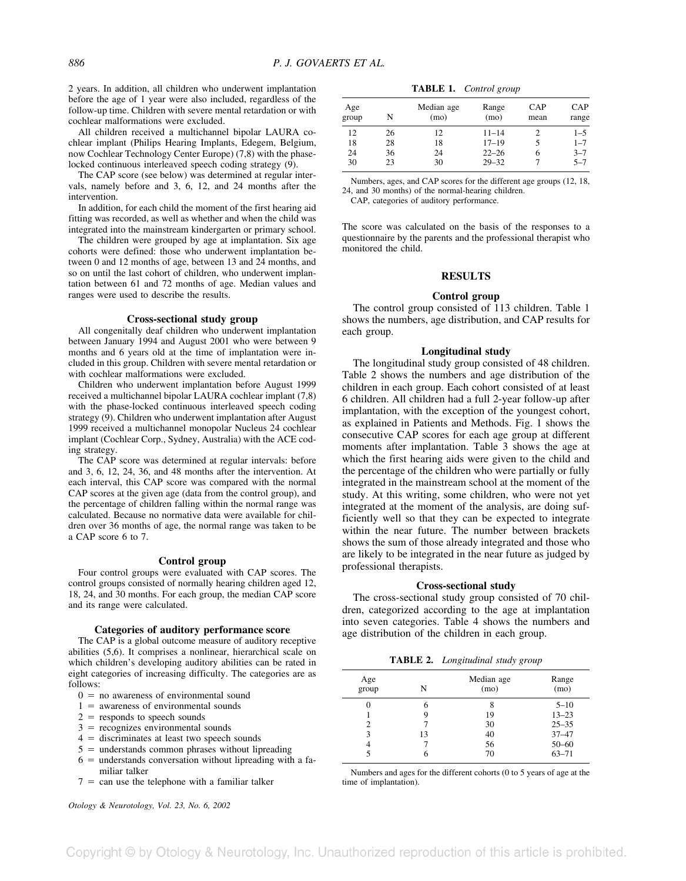2 years. In addition, all children who underwent implantation before the age of 1 year were also included, regardless of the follow-up time. Children with severe mental retardation or with cochlear malformations were excluded.

All children received a multichannel bipolar LAURA cochlear implant (Philips Hearing Implants, Edegem, Belgium, now Cochlear Technology Center Europe) (7,8) with the phaselocked continuous interleaved speech coding strategy (9).

The CAP score (see below) was determined at regular intervals, namely before and 3, 6, 12, and 24 months after the intervention.

In addition, for each child the moment of the first hearing aid fitting was recorded, as well as whether and when the child was integrated into the mainstream kindergarten or primary school.

The children were grouped by age at implantation. Six age cohorts were defined: those who underwent implantation between 0 and 12 months of age, between 13 and 24 months, and so on until the last cohort of children, who underwent implantation between 61 and 72 months of age. Median values and ranges were used to describe the results.

#### **Cross-sectional study group**

All congenitally deaf children who underwent implantation between January 1994 and August 2001 who were between 9 months and 6 years old at the time of implantation were included in this group. Children with severe mental retardation or with cochlear malformations were excluded.

Children who underwent implantation before August 1999 received a multichannel bipolar LAURA cochlear implant (7,8) with the phase-locked continuous interleaved speech coding strategy (9). Children who underwent implantation after August 1999 received a multichannel monopolar Nucleus 24 cochlear implant (Cochlear Corp., Sydney, Australia) with the ACE coding strategy.

The CAP score was determined at regular intervals: before and 3, 6, 12, 24, 36, and 48 months after the intervention. At each interval, this CAP score was compared with the normal CAP scores at the given age (data from the control group), and the percentage of children falling within the normal range was calculated. Because no normative data were available for children over 36 months of age, the normal range was taken to be a CAP score 6 to 7.

#### **Control group**

Four control groups were evaluated with CAP scores. The control groups consisted of normally hearing children aged 12, 18, 24, and 30 months. For each group, the median CAP score and its range were calculated.

#### **Categories of auditory performance score**

The CAP is a global outcome measure of auditory receptive abilities (5,6). It comprises a nonlinear, hierarchical scale on which children's developing auditory abilities can be rated in eight categories of increasing difficulty. The categories are as follows:

- $0 =$  no awareness of environmental sound
- $1 =$  awareness of environmental sounds
- $2 =$  responds to speech sounds
- $3$  = recognizes environmental sounds
- $4 =$  discriminates at least two speech sounds
- $5 =$  understands common phrases without lipreading
- $6 =$  understands conversation without lipreading with a familiar talker
- $7$  = can use the telephone with a familiar talker

*Otology & Neurotology, Vol. 23, No. 6, 2002*

**TABLE 1.** *Control group*

| Age<br>group | N  | Median age<br>(mo) | Range<br>(mo) | CAP<br>mean | CAP<br>range |
|--------------|----|--------------------|---------------|-------------|--------------|
| 12           | 26 | 12                 | $11 - 14$     |             | $1 - 5$      |
| 18           | 28 | 18                 | $17 - 19$     |             | $1 - 7$      |
| 24           | 36 | 24                 | $22 - 26$     |             | $3 - 7$      |
| 30           | 23 | 30                 | $29 - 32$     |             | $5 - 7$      |

Numbers, ages, and CAP scores for the different age groups (12, 18, 24, and 30 months) of the normal-hearing children.

CAP, categories of auditory performance.

The score was calculated on the basis of the responses to a questionnaire by the parents and the professional therapist who monitored the child.

#### **RESULTS**

#### **Control group**

The control group consisted of 113 children. Table 1 shows the numbers, age distribution, and CAP results for each group.

#### **Longitudinal study**

The longitudinal study group consisted of 48 children. Table 2 shows the numbers and age distribution of the children in each group. Each cohort consisted of at least 6 children. All children had a full 2-year follow-up after implantation, with the exception of the youngest cohort, as explained in Patients and Methods. Fig. 1 shows the consecutive CAP scores for each age group at different moments after implantation. Table 3 shows the age at which the first hearing aids were given to the child and the percentage of the children who were partially or fully integrated in the mainstream school at the moment of the study. At this writing, some children, who were not yet integrated at the moment of the analysis, are doing sufficiently well so that they can be expected to integrate within the near future. The number between brackets shows the sum of those already integrated and those who are likely to be integrated in the near future as judged by professional therapists.

#### **Cross-sectional study**

The cross-sectional study group consisted of 70 children, categorized according to the age at implantation into seven categories. Table 4 shows the numbers and age distribution of the children in each group.

| TABLE 2. | Longitudinal study group |  |
|----------|--------------------------|--|
|----------|--------------------------|--|

| Age<br>group | N  | Median age<br>(mo) | Range<br>(mo) |
|--------------|----|--------------------|---------------|
|              | 6  |                    | $5 - 10$      |
|              |    | 19                 | $13 - 23$     |
| 2            |    | 30                 | $25 - 35$     |
| 3            | 13 | 40                 | $37 - 47$     |
| 4            |    | 56                 | $50 - 60$     |
|              |    | 70                 | $63 - 71$     |
|              |    |                    |               |

Numbers and ages for the different cohorts (0 to 5 years of age at the time of implantation).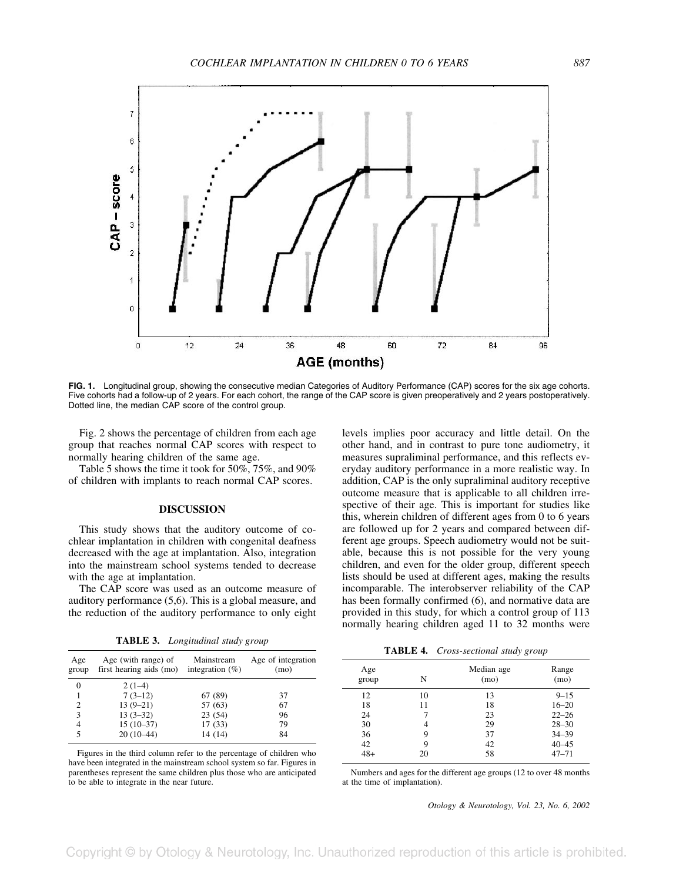

**FIG. 1.** Longitudinal group, showing the consecutive median Categories of Auditory Performance (CAP) scores for the six age cohorts. Five cohorts had a follow-up of 2 years. For each cohort, the range of the CAP score is given preoperatively and 2 years postoperatively. Dotted line, the median CAP score of the control group.

Fig. 2 shows the percentage of children from each age group that reaches normal CAP scores with respect to normally hearing children of the same age.

Table 5 shows the time it took for 50%, 75%, and 90% of children with implants to reach normal CAP scores.

#### **DISCUSSION**

This study shows that the auditory outcome of cochlear implantation in children with congenital deafness decreased with the age at implantation. Also, integration into the mainstream school systems tended to decrease with the age at implantation.

The CAP score was used as an outcome measure of auditory performance (5,6). This is a global measure, and the reduction of the auditory performance to only eight

| TABLE 3. | Longitudinal study group |  |
|----------|--------------------------|--|
|----------|--------------------------|--|

| Age<br>group | Age (with range) of<br>first hearing aids (mo) | Mainstream<br>integration $(\%)$ | Age of integration<br>(mo) |
|--------------|------------------------------------------------|----------------------------------|----------------------------|
| $\Omega$     | $2(1-4)$                                       |                                  |                            |
|              | $7(3-12)$                                      | 67 (89)                          | 37                         |
| 2            | $13(9-21)$                                     | 57 (63)                          | 67                         |
| 3            | $13(3-32)$                                     | 23(54)                           | 96                         |
| 4            | $15(10-37)$                                    | 17(33)                           | 79                         |
|              | $20(10-44)$                                    | 14 (14)                          | 84                         |

Figures in the third column refer to the percentage of children who have been integrated in the mainstream school system so far. Figures in parentheses represent the same children plus those who are anticipated to be able to integrate in the near future.

levels implies poor accuracy and little detail. On the other hand, and in contrast to pure tone audiometry, it measures supraliminal performance, and this reflects everyday auditory performance in a more realistic way. In addition, CAP is the only supraliminal auditory receptive outcome measure that is applicable to all children irrespective of their age. This is important for studies like this, wherein children of different ages from 0 to 6 years are followed up for 2 years and compared between different age groups. Speech audiometry would not be suitable, because this is not possible for the very young children, and even for the older group, different speech lists should be used at different ages, making the results incomparable. The interobserver reliability of the CAP has been formally confirmed (6), and normative data are provided in this study, for which a control group of 113 normally hearing children aged 11 to 32 months were

**TABLE 4.** *Cross-sectional study group*

| Age<br>group | N  | Median age<br>(mo) | Range<br>(mo) |
|--------------|----|--------------------|---------------|
| 12           | 10 | 13                 | $9 - 15$      |
| 18           | 11 | 18                 | $16 - 20$     |
| 24           |    | 23                 | $22 - 26$     |
| 30           | 4  | 29                 | $28 - 30$     |
| 36           | 9  | 37                 | $34 - 39$     |
| 42           | Q  | 42                 | $40 - 45$     |
| $48+$        | 20 | 58                 | $47 - 71$     |
|              |    |                    |               |

Numbers and ages for the different age groups (12 to over 48 months at the time of implantation).

*Otology & Neurotology, Vol. 23, No. 6, 2002*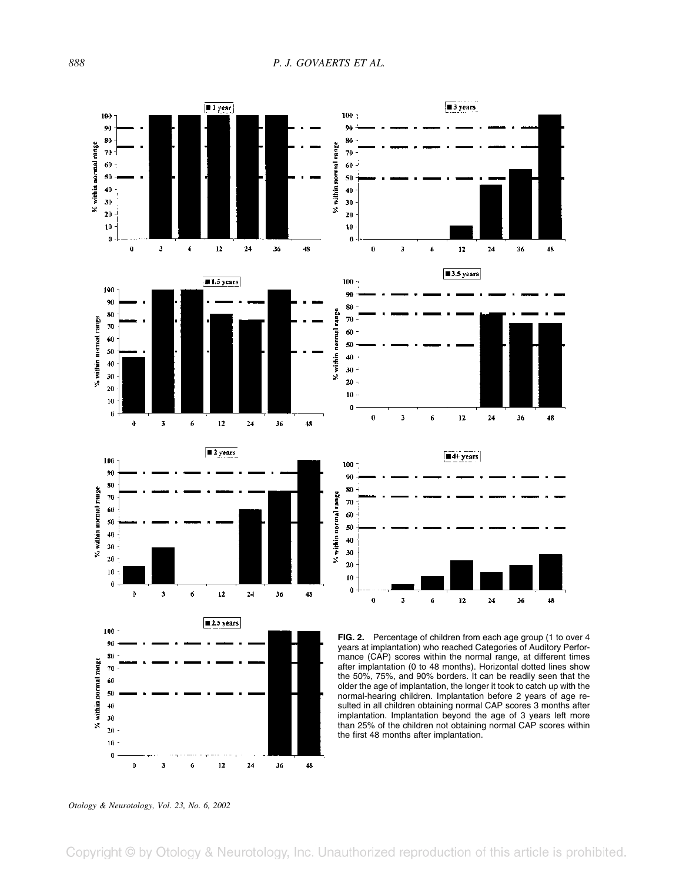

*Otology & Neurotology, Vol. 23, No. 6, 2002*

Copyright © by Otology & Neurotology, Inc. Unauthorized reproduction of this article is prohibited.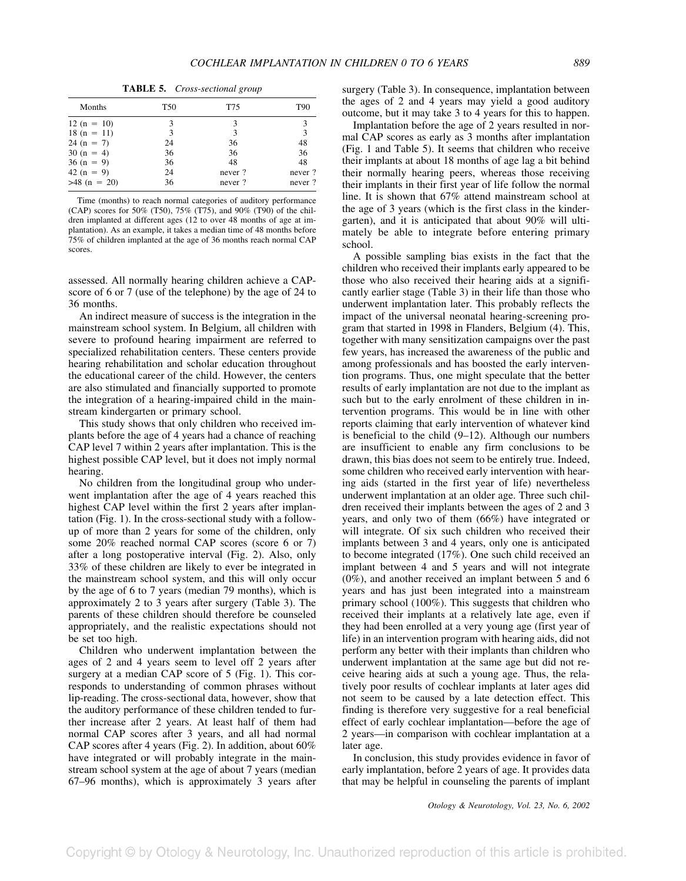**TABLE 5.** *Cross-sectional group*

| Months         | <b>T50</b> | T75    | T <sub>90</sub> |
|----------------|------------|--------|-----------------|
| $12(n = 10)$   |            | 3      |                 |
| $18(n = 11)$   | 3          | 3      | 3               |
| $24(n = 7)$    | 24         | 36     | 48              |
| $30(n = 4)$    | 36         | 36     | 36              |
| $36(n = 9)$    | 36         | 48     | 48              |
| $42(n = 9)$    | 24         | never? | never?          |
| $>48$ (n = 20) | 36         | never? | never?          |

Time (months) to reach normal categories of auditory performance (CAP) scores for 50% (T50), 75% (T75), and 90% (T90) of the children implanted at different ages (12 to over 48 months of age at implantation). As an example, it takes a median time of 48 months before 75% of children implanted at the age of 36 months reach normal CAP scores.

assessed. All normally hearing children achieve a CAPscore of 6 or 7 (use of the telephone) by the age of 24 to 36 months.

An indirect measure of success is the integration in the mainstream school system. In Belgium, all children with severe to profound hearing impairment are referred to specialized rehabilitation centers. These centers provide hearing rehabilitation and scholar education throughout the educational career of the child. However, the centers are also stimulated and financially supported to promote the integration of a hearing-impaired child in the mainstream kindergarten or primary school.

This study shows that only children who received implants before the age of 4 years had a chance of reaching CAP level 7 within 2 years after implantation. This is the highest possible CAP level, but it does not imply normal hearing.

No children from the longitudinal group who underwent implantation after the age of 4 years reached this highest CAP level within the first 2 years after implantation (Fig. 1). In the cross-sectional study with a followup of more than 2 years for some of the children, only some 20% reached normal CAP scores (score 6 or 7) after a long postoperative interval (Fig. 2). Also, only 33% of these children are likely to ever be integrated in the mainstream school system, and this will only occur by the age of 6 to 7 years (median 79 months), which is approximately 2 to 3 years after surgery (Table 3). The parents of these children should therefore be counseled appropriately, and the realistic expectations should not be set too high.

Children who underwent implantation between the ages of 2 and 4 years seem to level off 2 years after surgery at a median CAP score of 5 (Fig. 1). This corresponds to understanding of common phrases without lip-reading. The cross-sectional data, however, show that the auditory performance of these children tended to further increase after 2 years. At least half of them had normal CAP scores after 3 years, and all had normal CAP scores after 4 years (Fig. 2). In addition, about 60% have integrated or will probably integrate in the mainstream school system at the age of about 7 years (median 67–96 months), which is approximately 3 years after

surgery (Table 3). In consequence, implantation between the ages of 2 and 4 years may yield a good auditory outcome, but it may take 3 to 4 years for this to happen.

Implantation before the age of 2 years resulted in normal CAP scores as early as 3 months after implantation (Fig. 1 and Table 5). It seems that children who receive their implants at about 18 months of age lag a bit behind their normally hearing peers, whereas those receiving their implants in their first year of life follow the normal line. It is shown that 67% attend mainstream school at the age of 3 years (which is the first class in the kindergarten), and it is anticipated that about 90% will ultimately be able to integrate before entering primary school.

A possible sampling bias exists in the fact that the children who received their implants early appeared to be those who also received their hearing aids at a significantly earlier stage (Table 3) in their life than those who underwent implantation later. This probably reflects the impact of the universal neonatal hearing-screening program that started in 1998 in Flanders, Belgium (4). This, together with many sensitization campaigns over the past few years, has increased the awareness of the public and among professionals and has boosted the early intervention programs. Thus, one might speculate that the better results of early implantation are not due to the implant as such but to the early enrolment of these children in intervention programs. This would be in line with other reports claiming that early intervention of whatever kind is beneficial to the child (9–12). Although our numbers are insufficient to enable any firm conclusions to be drawn, this bias does not seem to be entirely true. Indeed, some children who received early intervention with hearing aids (started in the first year of life) nevertheless underwent implantation at an older age. Three such children received their implants between the ages of 2 and 3 years, and only two of them (66%) have integrated or will integrate. Of six such children who received their implants between 3 and 4 years, only one is anticipated to become integrated (17%). One such child received an implant between 4 and 5 years and will not integrate (0%), and another received an implant between 5 and 6 years and has just been integrated into a mainstream primary school (100%). This suggests that children who received their implants at a relatively late age, even if they had been enrolled at a very young age (first year of life) in an intervention program with hearing aids, did not perform any better with their implants than children who underwent implantation at the same age but did not receive hearing aids at such a young age. Thus, the relatively poor results of cochlear implants at later ages did not seem to be caused by a late detection effect. This finding is therefore very suggestive for a real beneficial effect of early cochlear implantation—before the age of 2 years—in comparison with cochlear implantation at a later age.

In conclusion, this study provides evidence in favor of early implantation, before 2 years of age. It provides data that may be helpful in counseling the parents of implant